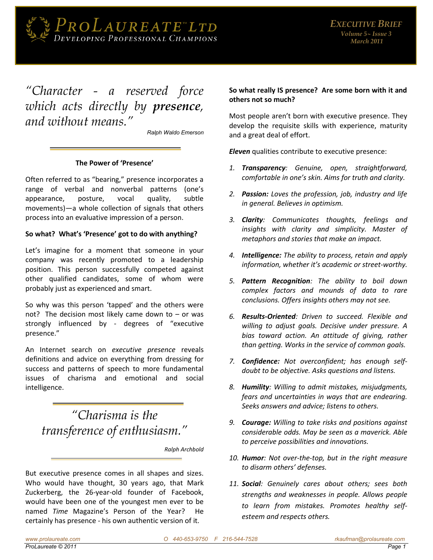

## "Character - a reserved force which acts directly by presence, and without means."

Ralph Waldo Emerson

## The Power of 'Presence'

Often referred to as "bearing," presence incorporates a range of verbal and nonverbal patterns (one's appearance, posture, vocal quality, subtle movements)—a whole collection of signals that others process into an evaluative impression of a person.

## So what? What's 'Presence' got to do with anything?

Let's imagine for a moment that someone in your company was recently promoted to a leadership position. This person successfully competed against other qualified candidates, some of whom were probably just as experienced and smart.

So why was this person 'tapped' and the others were not? The decision most likely came down to  $-$  or was strongly influenced by - degrees of "executive presence."

An Internet search on executive presence reveals definitions and advice on everything from dressing for success and patterns of speech to more fundamental issues of charisma and emotional and social intelligence.

"Charisma is the transference of enthusiasm."

Ralph Archbold

But executive presence comes in all shapes and sizes. Who would have thought, 30 years ago, that Mark Zuckerberg, the 26-year-old founder of Facebook, would have been one of the youngest men ever to be named Time Magazine's Person of the Year? He certainly has presence - his own authentic version of it.

## So what really IS presence? Are some born with it and others not so much?

Most people aren't born with executive presence. They develop the requisite skills with experience, maturity and a great deal of effort.

Eleven qualities contribute to executive presence:

- 1. Transparency: Genuine, open, straightforward, comfortable in one's skin. Aims for truth and clarity.
- 2. Passion: Loves the profession, job, industry and life in general. Believes in optimism.
- 3. Clarity: Communicates thoughts, feelings and insights with clarity and simplicity. Master of metaphors and stories that make an impact.
- 4. **Intelligence:** The ability to process, retain and apply information, whether it's academic or street-worthy.
- 5. Pattern Recognition: The ability to boil down complex factors and mounds of data to rare conclusions. Offers insights others may not see.
- 6. Results-Oriented: Driven to succeed. Flexible and willing to adjust goals. Decisive under pressure. A bias toward action. An attitude of giving, rather than getting. Works in the service of common goals.
- 7. Confidence: Not overconfident; has enough selfdoubt to be objective. Asks questions and listens.
- 8. Humility: Willing to admit mistakes, misjudgments, fears and uncertainties in ways that are endearing. Seeks answers and advice; listens to others.
- 9. **Courage:** Willing to take risks and positions against considerable odds. May be seen as a maverick. Able to perceive possibilities and innovations.
- 10. Humor: Not over-the-top, but in the right measure to disarm others' defenses.
- 11. Social: Genuinely cares about others; sees both strengths and weaknesses in people. Allows people to learn from mistakes. Promotes healthy selfesteem and respects others.